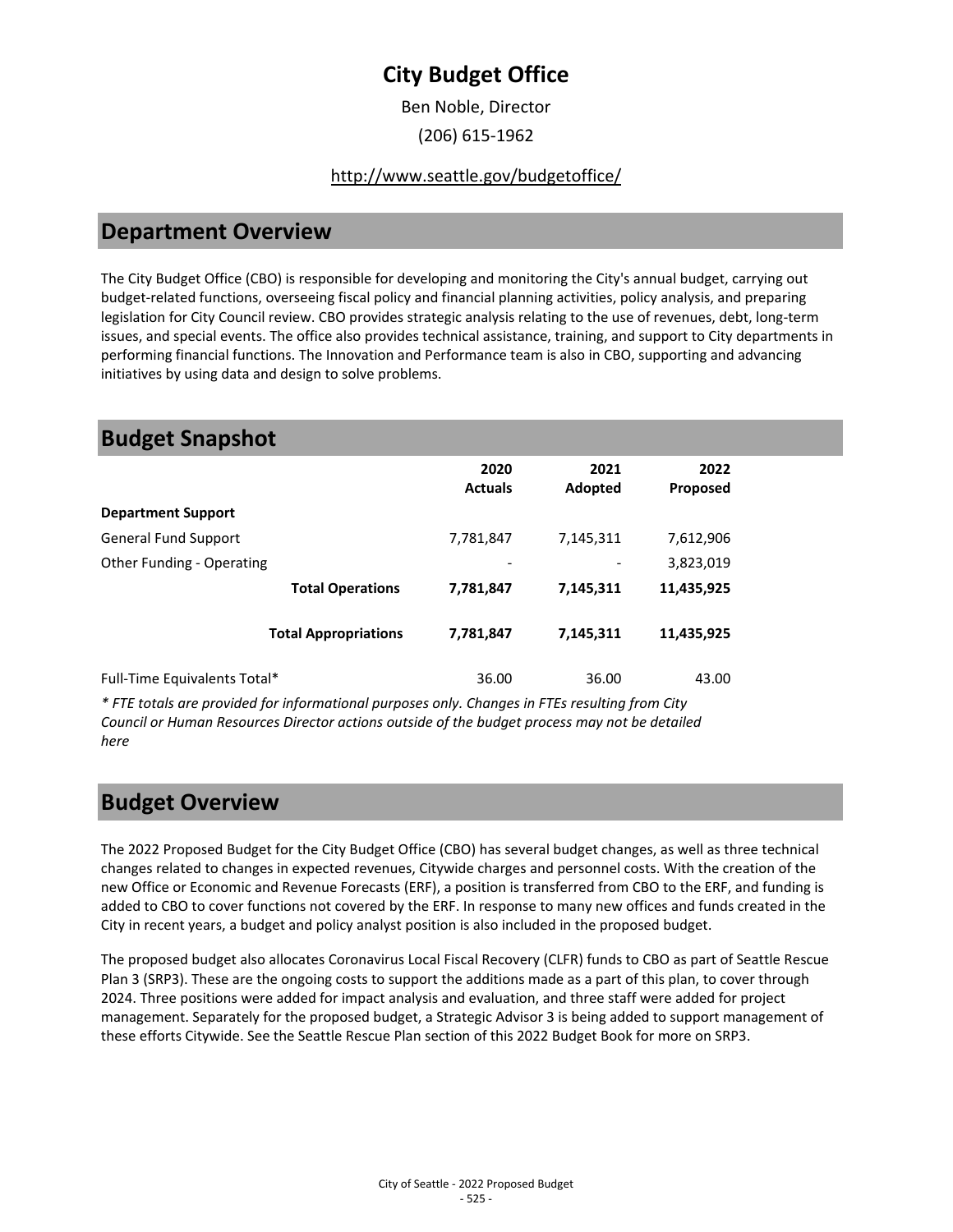Ben Noble, Director

(206) 615-1962

#### <http://www.seattle.gov/budgetoffice/>

## **Department Overview**

The City Budget Office (CBO) is responsible for developing and monitoring the City's annual budget, carrying out budget-related functions, overseeing fiscal policy and financial planning activities, policy analysis, and preparing legislation for City Council review. CBO provides strategic analysis relating to the use of revenues, debt, long-term issues, and special events. The office also provides technical assistance, training, and support to City departments in performing financial functions. The Innovation and Performance team is also in CBO, supporting and advancing initiatives by using data and design to solve problems.

### **Budget Snapshot**

|                              | 2020<br><b>Actuals</b>       | 2021<br>Adopted | 2022<br><b>Proposed</b> |
|------------------------------|------------------------------|-----------------|-------------------------|
| <b>Department Support</b>    |                              |                 |                         |
| <b>General Fund Support</b>  | 7,781,847                    | 7,145,311       | 7,612,906               |
| Other Funding - Operating    | $\qquad \qquad \blacksquare$ |                 | 3,823,019               |
| <b>Total Operations</b>      | 7,781,847                    | 7,145,311       | 11,435,925              |
| <b>Total Appropriations</b>  | 7,781,847                    | 7,145,311       | 11,435,925              |
| Full-Time Equivalents Total* | 36.00                        | 36.00           | 43.00                   |

*\* FTE totals are provided for informational purposes only. Changes in FTEs resulting from City Council or Human Resources Director actions outside of the budget process may not be detailed here*

## **Budget Overview**

The 2022 Proposed Budget for the City Budget Office (CBO) has several budget changes, as well as three technical changes related to changes in expected revenues, Citywide charges and personnel costs. With the creation of the new Office or Economic and Revenue Forecasts (ERF), a position is transferred from CBO to the ERF, and funding is added to CBO to cover functions not covered by the ERF. In response to many new offices and funds created in the City in recent years, a budget and policy analyst position is also included in the proposed budget.

The proposed budget also allocates Coronavirus Local Fiscal Recovery (CLFR) funds to CBO as part of Seattle Rescue Plan 3 (SRP3). These are the ongoing costs to support the additions made as a part of this plan, to cover through 2024. Three positions were added for impact analysis and evaluation, and three staff were added for project management. Separately for the proposed budget, a Strategic Advisor 3 is being added to support management of these efforts Citywide. See the Seattle Rescue Plan section of this 2022 Budget Book for more on SRP3.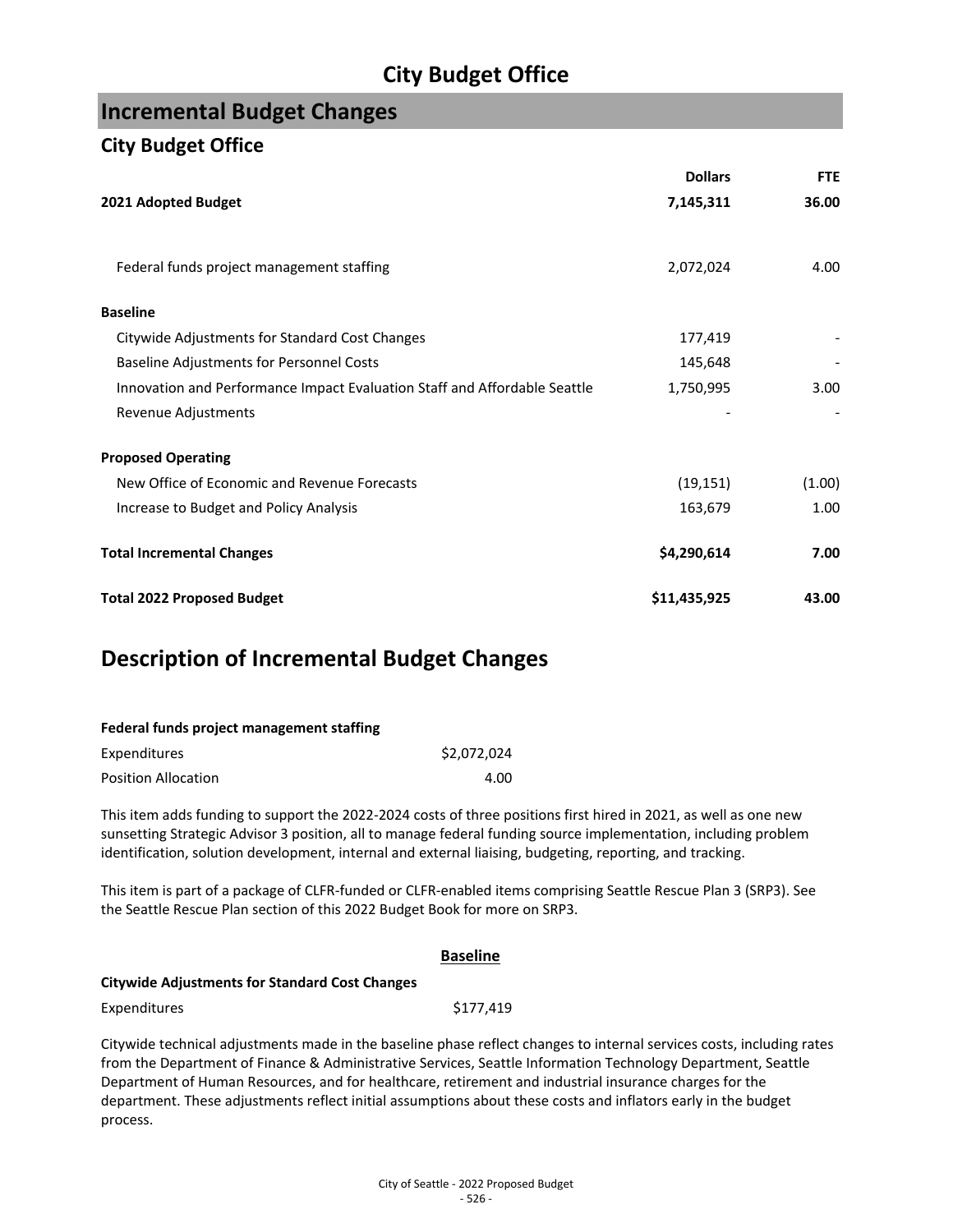## **Incremental Budget Changes**

### **City Budget Office**

process.

|                                                                           | <b>Dollars</b> | <b>FTE</b> |
|---------------------------------------------------------------------------|----------------|------------|
| 2021 Adopted Budget                                                       | 7,145,311      | 36.00      |
| Federal funds project management staffing                                 | 2,072,024      | 4.00       |
| <b>Baseline</b>                                                           |                |            |
| Citywide Adjustments for Standard Cost Changes                            | 177,419        |            |
| Baseline Adjustments for Personnel Costs                                  | 145,648        |            |
| Innovation and Performance Impact Evaluation Staff and Affordable Seattle | 1,750,995      | 3.00       |
| Revenue Adjustments                                                       |                |            |
| <b>Proposed Operating</b>                                                 |                |            |
| New Office of Economic and Revenue Forecasts                              | (19, 151)      | (1.00)     |
| Increase to Budget and Policy Analysis                                    | 163,679        | 1.00       |
| <b>Total Incremental Changes</b>                                          | \$4,290,614    | 7.00       |
| <b>Total 2022 Proposed Budget</b>                                         | \$11,435,925   | 43.00      |

## **Description of Incremental Budget Changes**

| Federal funds project management staffing |             |
|-------------------------------------------|-------------|
| Expenditures                              | \$2.072.024 |
| <b>Position Allocation</b>                | 4.00        |

This item adds funding to support the 2022-2024 costs of three positions first hired in 2021, as well as one new sunsetting Strategic Advisor 3 position, all to manage federal funding source implementation, including problem identification, solution development, internal and external liaising, budgeting, reporting, and tracking.

This item is part of a package of CLFR-funded or CLFR-enabled items comprising Seattle Rescue Plan 3 (SRP3). See the Seattle Rescue Plan section of this 2022 Budget Book for more on SRP3.

| <b>Baseline</b>                                                                                               |           |                                                                                                                       |
|---------------------------------------------------------------------------------------------------------------|-----------|-----------------------------------------------------------------------------------------------------------------------|
| <b>Citywide Adjustments for Standard Cost Changes</b>                                                         |           |                                                                                                                       |
| Expenditures                                                                                                  | \$177.419 |                                                                                                                       |
|                                                                                                               |           | Citywide technical adjustments made in the baseline phase reflect changes to internal services costs, including rates |
| from the Department of Finance & Administrative Services, Seattle Information Technology Department, Seattle  |           |                                                                                                                       |
| Department of Human Resources, and for healthcare, retirement and industrial insurance charges for the        |           |                                                                                                                       |
| department. These adjustments reflect initial assumptions about these costs and inflators early in the budget |           |                                                                                                                       |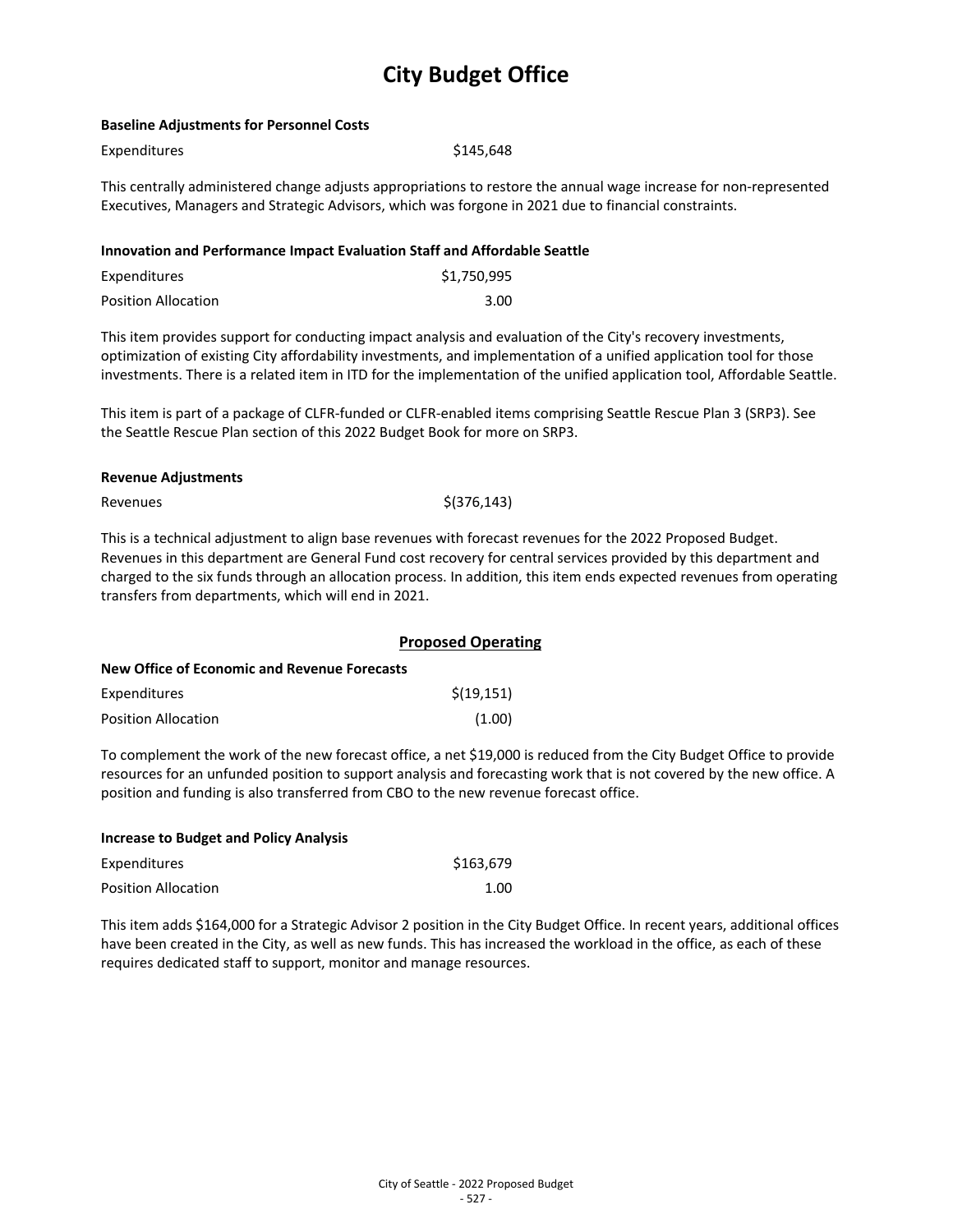#### **Baseline Adjustments for Personnel Costs**

\$145,648

This centrally administered change adjusts appropriations to restore the annual wage increase for non-represented Executives, Managers and Strategic Advisors, which was forgone in 2021 due to financial constraints.

#### **Innovation and Performance Impact Evaluation Staff and Affordable Seattle**

| Expenditures               | \$1,750,995 |
|----------------------------|-------------|
| <b>Position Allocation</b> | 3.00        |

This item provides support for conducting impact analysis and evaluation of the City's recovery investments, optimization of existing City affordability investments, and implementation of a unified application tool for those investments. There is a related item in ITD for the implementation of the unified application tool, Affordable Seattle.

This item is part of a package of CLFR-funded or CLFR-enabled items comprising Seattle Rescue Plan 3 (SRP3). See the Seattle Rescue Plan section of this 2022 Budget Book for more on SRP3.

#### **Revenue Adjustments**

 $\text{Revennes}$   $\text{S}(376,143)$ 

This is a technical adjustment to align base revenues with forecast revenues for the 2022 Proposed Budget. Revenues in this department are General Fund cost recovery for central services provided by this department and charged to the six funds through an allocation process. In addition, this item ends expected revenues from operating transfers from departments, which will end in 2021.

|                                              | <b>Proposed Operating</b> |  |  |  |
|----------------------------------------------|---------------------------|--|--|--|
| New Office of Economic and Revenue Forecasts |                           |  |  |  |
| Expenditures                                 | \$(19, 151)               |  |  |  |
| <b>Position Allocation</b>                   | (1.00)                    |  |  |  |

To complement the work of the new forecast office, a net \$19,000 is reduced from the City Budget Office to provide resources for an unfunded position to support analysis and forecasting work that is not covered by the new office. A position and funding is also transferred from CBO to the new revenue forecast office.

| <b>Increase to Budget and Policy Analysis</b> |           |
|-----------------------------------------------|-----------|
| Expenditures                                  | \$163.679 |
| <b>Position Allocation</b>                    | 1.00      |

This item adds \$164,000 for a Strategic Advisor 2 position in the City Budget Office. In recent years, additional offices have been created in the City, as well as new funds. This has increased the workload in the office, as each of these requires dedicated staff to support, monitor and manage resources.